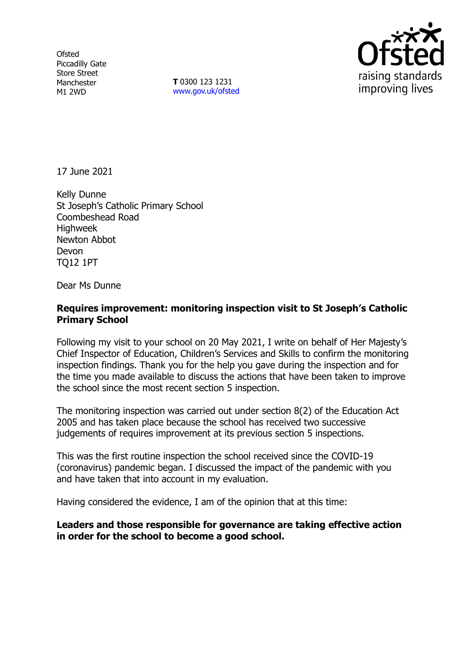**Ofsted** Piccadilly Gate Store Street Manchester M1 2WD

**T** 0300 123 1231 [www.gov.uk/ofsted](http://www.gov.uk/ofsted)



17 June 2021

Kelly Dunne St Joseph's Catholic Primary School Coombeshead Road Highweek Newton Abbot Devon TQ12 1PT

Dear Ms Dunne

## **Requires improvement: monitoring inspection visit to St Joseph's Catholic Primary School**

Following my visit to your school on 20 May 2021, I write on behalf of Her Majesty's Chief Inspector of Education, Children's Services and Skills to confirm the monitoring inspection findings. Thank you for the help you gave during the inspection and for the time you made available to discuss the actions that have been taken to improve the school since the most recent section 5 inspection.

The monitoring inspection was carried out under section 8(2) of the Education Act 2005 and has taken place because the school has received two successive judgements of requires improvement at its previous section 5 inspections.

This was the first routine inspection the school received since the COVID-19 (coronavirus) pandemic began. I discussed the impact of the pandemic with you and have taken that into account in my evaluation.

Having considered the evidence, I am of the opinion that at this time:

### **Leaders and those responsible for governance are taking effective action in order for the school to become a good school.**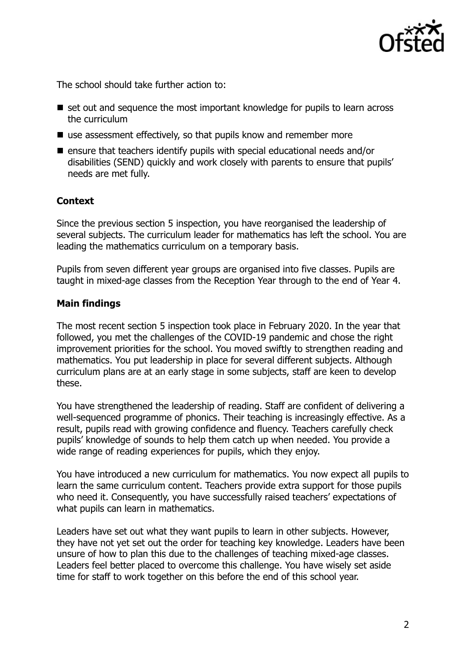

The school should take further action to:

- set out and sequence the most important knowledge for pupils to learn across the curriculum
- use assessment effectively, so that pupils know and remember more
- $\blacksquare$  ensure that teachers identify pupils with special educational needs and/or disabilities (SEND) quickly and work closely with parents to ensure that pupils' needs are met fully.

# **Context**

Since the previous section 5 inspection, you have reorganised the leadership of several subjects. The curriculum leader for mathematics has left the school. You are leading the mathematics curriculum on a temporary basis.

Pupils from seven different year groups are organised into five classes. Pupils are taught in mixed-age classes from the Reception Year through to the end of Year 4.

### **Main findings**

The most recent section 5 inspection took place in February 2020. In the year that followed, you met the challenges of the COVID-19 pandemic and chose the right improvement priorities for the school. You moved swiftly to strengthen reading and mathematics. You put leadership in place for several different subjects. Although curriculum plans are at an early stage in some subjects, staff are keen to develop these.

You have strengthened the leadership of reading. Staff are confident of delivering a well-sequenced programme of phonics. Their teaching is increasingly effective. As a result, pupils read with growing confidence and fluency. Teachers carefully check pupils' knowledge of sounds to help them catch up when needed. You provide a wide range of reading experiences for pupils, which they enjoy.

You have introduced a new curriculum for mathematics. You now expect all pupils to learn the same curriculum content. Teachers provide extra support for those pupils who need it. Consequently, you have successfully raised teachers' expectations of what pupils can learn in mathematics.

Leaders have set out what they want pupils to learn in other subjects. However, they have not yet set out the order for teaching key knowledge. Leaders have been unsure of how to plan this due to the challenges of teaching mixed-age classes. Leaders feel better placed to overcome this challenge. You have wisely set aside time for staff to work together on this before the end of this school year.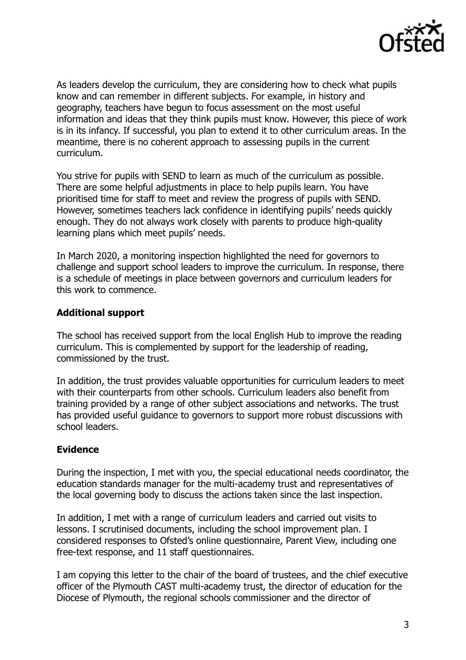

As leaders develop the curriculum, they are considering how to check what pupils know and can remember in different subjects. For example, in history and geography, teachers have begun to focus assessment on the most useful information and ideas that they think pupils must know. However, this piece of work is in its infancy. If successful, you plan to extend it to other curriculum areas. In the meantime, there is no coherent approach to assessing pupils in the current curriculum.

You strive for pupils with SEND to learn as much of the curriculum as possible. There are some helpful adjustments in place to help pupils learn. You have prioritised time for staff to meet and review the progress of pupils with SEND. However, sometimes teachers lack confidence in identifying pupils' needs quickly enough. They do not always work closely with parents to produce high-quality learning plans which meet pupils' needs.

In March 2020, a monitoring inspection highlighted the need for governors to challenge and support school leaders to improve the curriculum. In response, there is a schedule of meetings in place between governors and curriculum leaders for this work to commence.

### **Additional support**

The school has received support from the local English Hub to improve the reading curriculum. This is complemented by support for the leadership of reading, commissioned by the trust.

In addition, the trust provides valuable opportunities for curriculum leaders to meet with their counterparts from other schools. Curriculum leaders also benefit from training provided by a range of other subject associations and networks. The trust has provided useful guidance to governors to support more robust discussions with school leaders.

#### **Evidence**

During the inspection, I met with you, the special educational needs coordinator, the education standards manager for the multi-academy trust and representatives of the local governing body to discuss the actions taken since the last inspection.

In addition, I met with a range of curriculum leaders and carried out visits to lessons. I scrutinised documents, including the school improvement plan. I considered responses to Ofsted's online questionnaire, Parent View, including one free-text response, and 11 staff questionnaires.

I am copying this letter to the chair of the board of trustees, and the chief executive officer of the Plymouth CAST multi-academy trust, the director of education for the Diocese of Plymouth, the regional schools commissioner and the director of